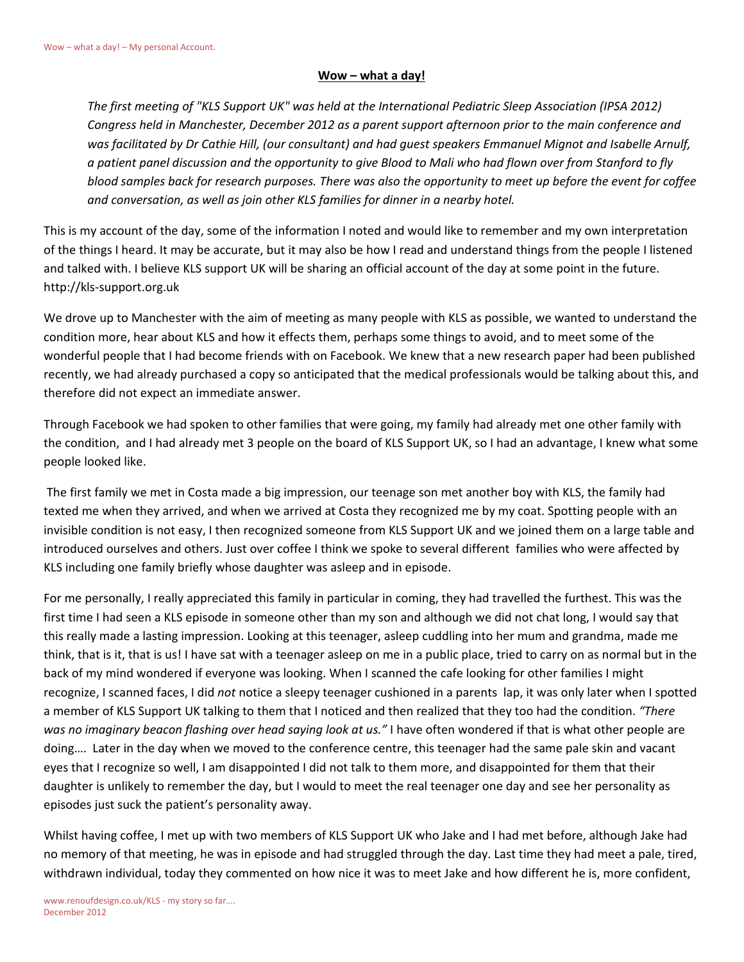## **Wow – what a day!**

*The first meeting of "KLS Support UK" was held at the International Pediatric Sleep Association (IPSA 2012) Congress held in Manchester, December 2012 as a parent support afternoon prior to the main conference and was facilitated by Dr Cathie Hill, (our consultant) and had guest speakers Emmanuel Mignot and Isabelle Arnulf, a patient panel discussion and the opportunity to give Blood to Mali who had flown over from Stanford to fly blood samples back for research purposes. There was also the opportunity to meet up before the event for coffee and conversation, as well as join other KLS families for dinner in a nearby hotel.*

This is my account of the day, some of the information I noted and would like to remember and my own interpretation of the things I heard. It may be accurate, but it may also be how I read and understand things from the people I listened and talked with. I believe KLS support UK will be sharing an official account of the day at some point in the future. http://kls-support.org.uk

We drove up to Manchester with the aim of meeting as many people with KLS as possible, we wanted to understand the condition more, hear about KLS and how it effects them, perhaps some things to avoid, and to meet some of the wonderful people that I had become friends with on Facebook. We knew that a new research paper had been published recently, we had already purchased a copy so anticipated that the medical professionals would be talking about this, and therefore did not expect an immediate answer.

Through Facebook we had spoken to other families that were going, my family had already met one other family with the condition, and I had already met 3 people on the board of KLS Support UK, so I had an advantage, I knew what some people looked like.

The first family we met in Costa made a big impression, our teenage son met another boy with KLS, the family had texted me when they arrived, and when we arrived at Costa they recognized me by my coat. Spotting people with an invisible condition is not easy, I then recognized someone from KLS Support UK and we joined them on a large table and introduced ourselves and others. Just over coffee I think we spoke to several different families who were affected by KLS including one family briefly whose daughter was asleep and in episode.

For me personally, I really appreciated this family in particular in coming, they had travelled the furthest. This was the first time I had seen a KLS episode in someone other than my son and although we did not chat long, I would say that this really made a lasting impression. Looking at this teenager, asleep cuddling into her mum and grandma, made me think, that is it, that is us! I have sat with a teenager asleep on me in a public place, tried to carry on as normal but in the back of my mind wondered if everyone was looking. When I scanned the cafe looking for other families I might recognize, I scanned faces, I did *not* notice a sleepy teenager cushioned in a parents lap, it was only later when I spotted a member of KLS Support UK talking to them that I noticed and then realized that they too had the condition. *"There was no imaginary beacon flashing over head saying look at us."* I have often wondered if that is what other people are doing…. Later in the day when we moved to the conference centre, this teenager had the same pale skin and vacant eyes that I recognize so well, I am disappointed I did not talk to them more, and disappointed for them that their daughter is unlikely to remember the day, but I would to meet the real teenager one day and see her personality as episodes just suck the patient's personality away.

Whilst having coffee, I met up with two members of KLS Support UK who Jake and I had met before, although Jake had no memory of that meeting, he was in episode and had struggled through the day. Last time they had meet a pale, tired, withdrawn individual, today they commented on how nice it was to meet Jake and how different he is, more confident,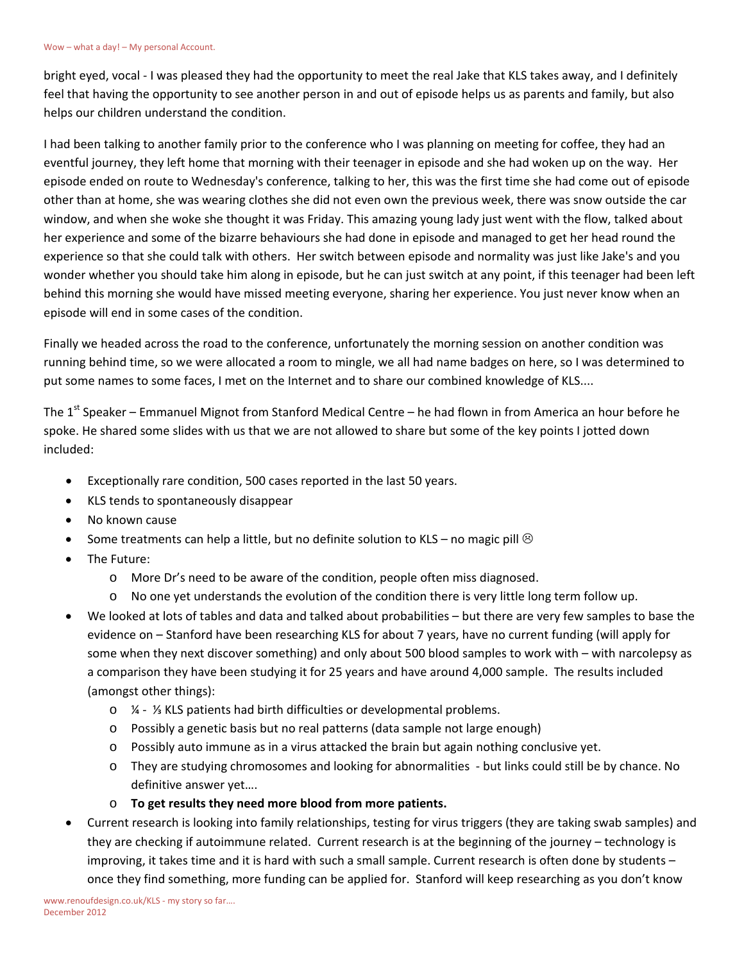bright eyed, vocal - I was pleased they had the opportunity to meet the real Jake that KLS takes away, and I definitely feel that having the opportunity to see another person in and out of episode helps us as parents and family, but also helps our children understand the condition.

I had been talking to another family prior to the conference who I was planning on meeting for coffee, they had an eventful journey, they left home that morning with their teenager in episode and she had woken up on the way. Her episode ended on route to Wednesday's conference, talking to her, this was the first time she had come out of episode other than at home, she was wearing clothes she did not even own the previous week, there was snow outside the car window, and when she woke she thought it was Friday. This amazing young lady just went with the flow, talked about her experience and some of the bizarre behaviours she had done in episode and managed to get her head round the experience so that she could talk with others. Her switch between episode and normality was just like Jake's and you wonder whether you should take him along in episode, but he can just switch at any point, if this teenager had been left behind this morning she would have missed meeting everyone, sharing her experience. You just never know when an episode will end in some cases of the condition.

Finally we headed across the road to the conference, unfortunately the morning session on another condition was running behind time, so we were allocated a room to mingle, we all had name badges on here, so I was determined to put some names to some faces, I met on the Internet and to share our combined knowledge of KLS....

The 1<sup>st</sup> Speaker – Emmanuel Mignot from Stanford Medical Centre – he had flown in from America an hour before he spoke. He shared some slides with us that we are not allowed to share but some of the key points I jotted down included:

- Exceptionally rare condition, 500 cases reported in the last 50 years.
- KLS tends to spontaneously disappear
- No known cause
- Some treatments can help a little, but no definite solution to KLS no magic pill  $\odot$
- The Future:
	- o More Dr's need to be aware of the condition, people often miss diagnosed.
	- $\circ$  No one yet understands the evolution of the condition there is very little long term follow up.
- We looked at lots of tables and data and talked about probabilities but there are very few samples to base the evidence on – Stanford have been researching KLS for about 7 years, have no current funding (will apply for some when they next discover something) and only about 500 blood samples to work with – with narcolepsy as a comparison they have been studying it for 25 years and have around 4,000 sample. The results included (amongst other things):
	- o ¼ ⅓ KLS patients had birth difficulties or developmental problems.
	- o Possibly a genetic basis but no real patterns (data sample not large enough)
	- o Possibly auto immune as in a virus attacked the brain but again nothing conclusive yet.
	- o They are studying chromosomes and looking for abnormalities but links could still be by chance. No definitive answer yet….
	- o **To get results they need more blood from more patients.**
- Current research is looking into family relationships, testing for virus triggers (they are taking swab samples) and they are checking if autoimmune related. Current research is at the beginning of the journey – technology is improving, it takes time and it is hard with such a small sample. Current research is often done by students – once they find something, more funding can be applied for. Stanford will keep researching as you don't know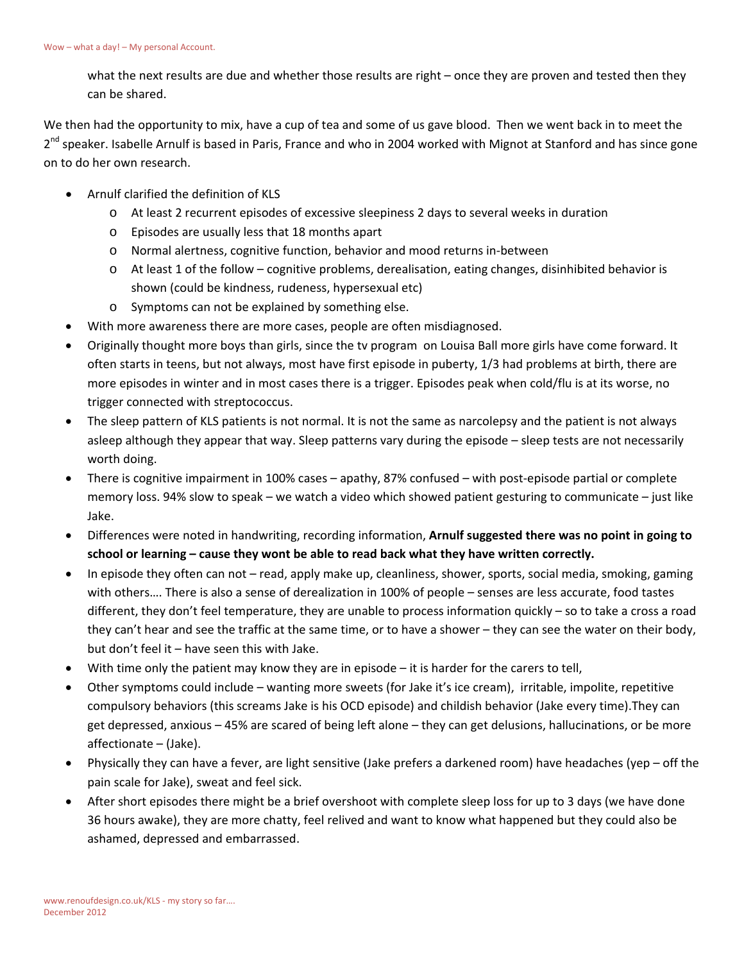what the next results are due and whether those results are right – once they are proven and tested then they can be shared.

We then had the opportunity to mix, have a cup of tea and some of us gave blood. Then we went back in to meet the 2<sup>nd</sup> speaker. Isabelle Arnulf is based in Paris, France and who in 2004 worked with Mignot at Stanford and has since gone on to do her own research.

- Arnulf clarified the definition of KLS
	- o At least 2 recurrent episodes of excessive sleepiness 2 days to several weeks in duration
	- o Episodes are usually less that 18 months apart
	- o Normal alertness, cognitive function, behavior and mood returns in-between
	- $\circ$  At least 1 of the follow cognitive problems, derealisation, eating changes, disinhibited behavior is shown (could be kindness, rudeness, hypersexual etc)
	- o Symptoms can not be explained by something else.
- With more awareness there are more cases, people are often misdiagnosed.
- Originally thought more boys than girls, since the tv program on Louisa Ball more girls have come forward. It often starts in teens, but not always, most have first episode in puberty, 1/3 had problems at birth, there are more episodes in winter and in most cases there is a trigger. Episodes peak when cold/flu is at its worse, no trigger connected with streptococcus.
- The sleep pattern of KLS patients is not normal. It is not the same as narcolepsy and the patient is not always asleep although they appear that way. Sleep patterns vary during the episode – sleep tests are not necessarily worth doing.
- There is cognitive impairment in 100% cases apathy, 87% confused with post-episode partial or complete memory loss. 94% slow to speak – we watch a video which showed patient gesturing to communicate – just like Jake.
- Differences were noted in handwriting, recording information, **Arnulf suggested there was no point in going to school or learning – cause they wont be able to read back what they have written correctly.**
- In episode they often can not read, apply make up, cleanliness, shower, sports, social media, smoking, gaming with others…. There is also a sense of derealization in 100% of people – senses are less accurate, food tastes different, they don't feel temperature, they are unable to process information quickly – so to take a cross a road they can't hear and see the traffic at the same time, or to have a shower – they can see the water on their body, but don't feel it – have seen this with Jake.
- With time only the patient may know they are in episode it is harder for the carers to tell,
- Other symptoms could include wanting more sweets (for Jake it's ice cream), irritable, impolite, repetitive compulsory behaviors (this screams Jake is his OCD episode) and childish behavior (Jake every time).They can get depressed, anxious – 45% are scared of being left alone – they can get delusions, hallucinations, or be more affectionate – (Jake).
- Physically they can have a fever, are light sensitive (Jake prefers a darkened room) have headaches (yep off the pain scale for Jake), sweat and feel sick.
- After short episodes there might be a brief overshoot with complete sleep loss for up to 3 days (we have done 36 hours awake), they are more chatty, feel relived and want to know what happened but they could also be ashamed, depressed and embarrassed.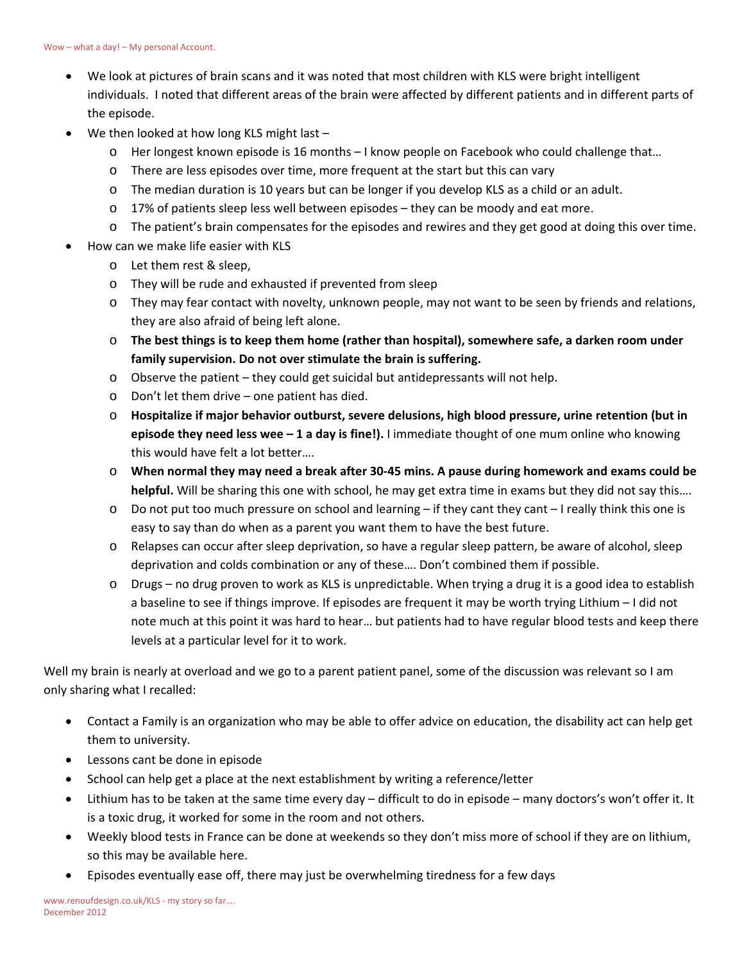- We look at pictures of brain scans and it was noted that most children with KLS were bright intelligent individuals. I noted that different areas of the brain were affected by different patients and in different parts of the episode.
- We then looked at how long KLS might last
	- o Her longest known episode is 16 months I know people on Facebook who could challenge that…
	- o There are less episodes over time, more frequent at the start but this can vary
	- o The median duration is 10 years but can be longer if you develop KLS as a child or an adult.
	- o 17% of patients sleep less well between episodes they can be moody and eat more.
	- o The patient's brain compensates for the episodes and rewires and they get good at doing this over time.
- How can we make life easier with KLS
	- o Let them rest & sleep,
	- o They will be rude and exhausted if prevented from sleep
	- o They may fear contact with novelty, unknown people, may not want to be seen by friends and relations, they are also afraid of being left alone.
	- o **The best things is to keep them home (rather than hospital), somewhere safe, a darken room under family supervision. Do not over stimulate the brain is suffering.**
	- $\circ$  Observe the patient they could get suicidal but antidepressants will not help.
	- o Don't let them drive one patient has died.
	- o **Hospitalize if major behavior outburst, severe delusions, high blood pressure, urine retention (but in episode they need less wee – 1 a day is fine!).** I immediate thought of one mum online who knowing this would have felt a lot better….
	- o **When normal they may need a break after 30-45 mins. A pause during homework and exams could be helpful.** Will be sharing this one with school, he may get extra time in exams but they did not say this….
	- o Do not put too much pressure on school and learning if they cant they cant I really think this one is easy to say than do when as a parent you want them to have the best future.
	- o Relapses can occur after sleep deprivation, so have a regular sleep pattern, be aware of alcohol, sleep deprivation and colds combination or any of these…. Don't combined them if possible.
	- o Drugs no drug proven to work as KLS is unpredictable. When trying a drug it is a good idea to establish a baseline to see if things improve. If episodes are frequent it may be worth trying Lithium – I did not note much at this point it was hard to hear… but patients had to have regular blood tests and keep there levels at a particular level for it to work.

Well my brain is nearly at overload and we go to a parent patient panel, some of the discussion was relevant so I am only sharing what I recalled:

- Contact a Family is an organization who may be able to offer advice on education, the disability act can help get them to university.
- Lessons cant be done in episode
- School can help get a place at the next establishment by writing a reference/letter
- Lithium has to be taken at the same time every day difficult to do in episode many doctors's won't offer it. It is a toxic drug, it worked for some in the room and not others.
- Weekly blood tests in France can be done at weekends so they don't miss more of school if they are on lithium, so this may be available here.
- Episodes eventually ease off, there may just be overwhelming tiredness for a few days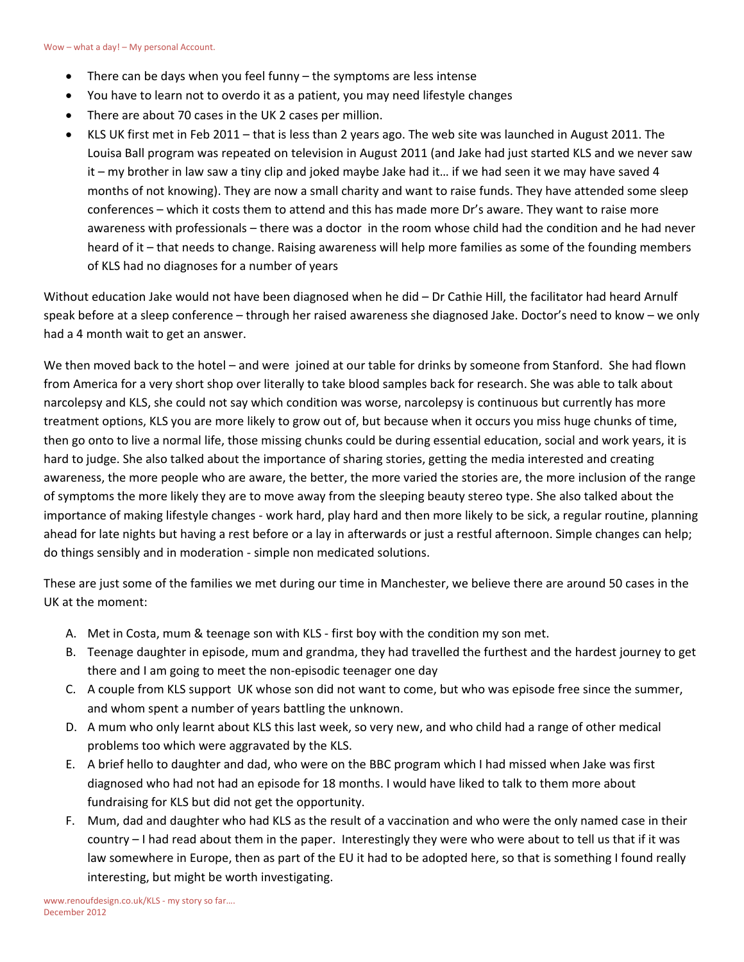- There can be days when you feel funny the symptoms are less intense
- You have to learn not to overdo it as a patient, you may need lifestyle changes
- There are about 70 cases in the UK 2 cases per million.
- KLS UK first met in Feb 2011 that is less than 2 years ago. The web site was launched in August 2011. The Louisa Ball program was repeated on television in August 2011 (and Jake had just started KLS and we never saw it – my brother in law saw a tiny clip and joked maybe Jake had it… if we had seen it we may have saved 4 months of not knowing). They are now a small charity and want to raise funds. They have attended some sleep conferences – which it costs them to attend and this has made more Dr's aware. They want to raise more awareness with professionals – there was a doctor in the room whose child had the condition and he had never heard of it – that needs to change. Raising awareness will help more families as some of the founding members of KLS had no diagnoses for a number of years

Without education Jake would not have been diagnosed when he did – Dr Cathie Hill, the facilitator had heard Arnulf speak before at a sleep conference – through her raised awareness she diagnosed Jake. Doctor's need to know – we only had a 4 month wait to get an answer.

We then moved back to the hotel – and were joined at our table for drinks by someone from Stanford. She had flown from America for a very short shop over literally to take blood samples back for research. She was able to talk about narcolepsy and KLS, she could not say which condition was worse, narcolepsy is continuous but currently has more treatment options, KLS you are more likely to grow out of, but because when it occurs you miss huge chunks of time, then go onto to live a normal life, those missing chunks could be during essential education, social and work years, it is hard to judge. She also talked about the importance of sharing stories, getting the media interested and creating awareness, the more people who are aware, the better, the more varied the stories are, the more inclusion of the range of symptoms the more likely they are to move away from the sleeping beauty stereo type. She also talked about the importance of making lifestyle changes - work hard, play hard and then more likely to be sick, a regular routine, planning ahead for late nights but having a rest before or a lay in afterwards or just a restful afternoon. Simple changes can help; do things sensibly and in moderation - simple non medicated solutions.

These are just some of the families we met during our time in Manchester, we believe there are around 50 cases in the UK at the moment:

- A. Met in Costa, mum & teenage son with KLS first boy with the condition my son met.
- B. Teenage daughter in episode, mum and grandma, they had travelled the furthest and the hardest journey to get there and I am going to meet the non-episodic teenager one day
- C. A couple from KLS support UK whose son did not want to come, but who was episode free since the summer, and whom spent a number of years battling the unknown.
- D. A mum who only learnt about KLS this last week, so very new, and who child had a range of other medical problems too which were aggravated by the KLS.
- E. A brief hello to daughter and dad, who were on the BBC program which I had missed when Jake was first diagnosed who had not had an episode for 18 months. I would have liked to talk to them more about fundraising for KLS but did not get the opportunity.
- F. Mum, dad and daughter who had KLS as the result of a vaccination and who were the only named case in their country – I had read about them in the paper. Interestingly they were who were about to tell us that if it was law somewhere in Europe, then as part of the EU it had to be adopted here, so that is something I found really interesting, but might be worth investigating.